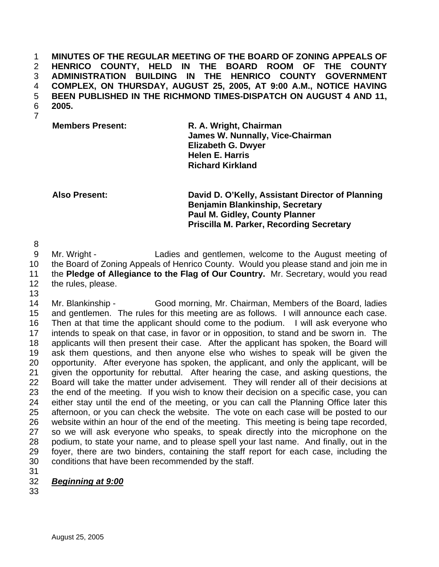**MINUTES OF THE REGULAR MEETING OF THE BOARD OF ZONING APPEALS OF HENRICO COUNTY, HELD IN THE BOARD ROOM OF THE COUNTY ADMINISTRATION BUILDING IN THE HENRICO COUNTY GOVERNMENT COMPLEX, ON THURSDAY, AUGUST 25, 2005, AT 9:00 A.M., NOTICE HAVING BEEN PUBLISHED IN THE RICHMOND TIMES-DISPATCH ON AUGUST 4 AND 11,**  6 **2005.** 

7

**Members Present:** R. A. Wright, Chairman  **James W. Nunnally, Vice-Chairman Elizabeth G. Dwyer Helen E. Harris Richard Kirkland** 

**Also Present: David D. O'Kelly, Assistant Director of Planning Benjamin Blankinship, Secretary Paul M. Gidley, County Planner Priscilla M. Parker, Recording Secretary** 

8

13

9 Mr. Wright - Ladies and gentlemen, welcome to the August meeting of 10 the Board of Zoning Appeals of Henrico County. Would you please stand and join me in 11 the **Pledge of Allegiance to the Flag of Our Country.** Mr. Secretary, would you read 12 the rules, please.

14 Mr. Blankinship - Good morning, Mr. Chairman, Members of the Board, ladies 15 and gentlemen. The rules for this meeting are as follows. I will announce each case. 16 Then at that time the applicant should come to the podium. I will ask everyone who 17 intends to speak on that case, in favor or in opposition, to stand and be sworn in. The 18 applicants will then present their case. After the applicant has spoken, the Board will 19 ask them questions, and then anyone else who wishes to speak will be given the 20 opportunity. After everyone has spoken, the applicant, and only the applicant, will be 21 given the opportunity for rebuttal. After hearing the case, and asking questions, the 22 Board will take the matter under advisement. They will render all of their decisions at 23 the end of the meeting. If you wish to know their decision on a specific case, you can 24 either stay until the end of the meeting, or you can call the Planning Office later this 25 afternoon, or you can check the website. The vote on each case will be posted to our 26 website within an hour of the end of the meeting. This meeting is being tape recorded, 27 so we will ask everyone who speaks, to speak directly into the microphone on the 28 podium, to state your name, and to please spell your last name. And finally, out in the 29 foyer, there are two binders, containing the staff report for each case, including the 30 conditions that have been recommended by the staff.

- 31
- 32 *Beginning at 9:00*
- 33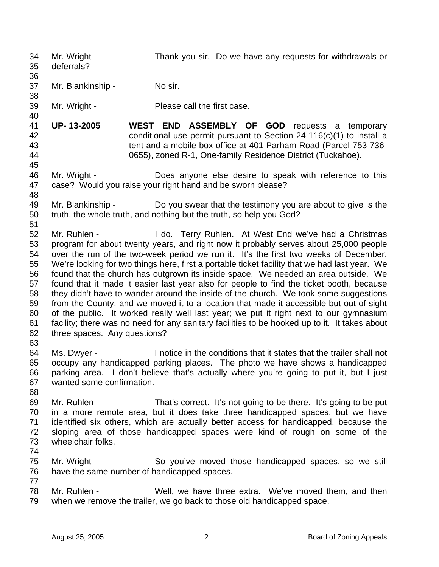34 Mr. Wright - Thank you sir. Do we have any requests for withdrawals or 35 deferrals? 36 37 Mr. Blankinship - No sir. 38 39 Mr. Wright - Please call the first case. 40 41 **UP- 13-2005 WEST END ASSEMBLY OF GOD** requests a temporary 42 conditional use permit pursuant to Section 24-116(c)(1) to install a 43 tent and a mobile box office at 401 Parham Road (Parcel 753-736- 44 0655), zoned R-1, One-family Residence District (Tuckahoe). 45 46 Mr. Wright - Does anyone else desire to speak with reference to this 47 case? Would you raise your right hand and be sworn please? 48 49 Mr. Blankinship - Do you swear that the testimony you are about to give is the 50 truth, the whole truth, and nothing but the truth, so help you God? 51 52 Mr. Ruhlen - I do. Terry Ruhlen. At West End we've had a Christmas 53 program for about twenty years, and right now it probably serves about 25,000 people 54 over the run of the two-week period we run it. It's the first two weeks of December. 55 We're looking for two things here, first a portable ticket facility that we had last year. We 56 found that the church has outgrown its inside space. We needed an area outside. We 57 found that it made it easier last year also for people to find the ticket booth, because 58 they didn't have to wander around the inside of the church. We took some suggestions 59 from the County, and we moved it to a location that made it accessible but out of sight 60 of the public. It worked really well last year; we put it right next to our gymnasium 61 facility; there was no need for any sanitary facilities to be hooked up to it. It takes about 62 three spaces. Any questions? 63 64 Ms. Dwyer - I notice in the conditions that it states that the trailer shall not 65 occupy any handicapped parking places. The photo we have shows a handicapped 66 parking area. I don't believe that's actually where you're going to put it, but I just 67 wanted some confirmation. 68 69 Mr. Ruhlen - That's correct. It's not going to be there. It's going to be put 70 in a more remote area, but it does take three handicapped spaces, but we have 71 identified six others, which are actually better access for handicapped, because the 72 sloping area of those handicapped spaces were kind of rough on some of the 73 wheelchair folks. 74 75 Mr. Wright - So you've moved those handicapped spaces, so we still 76 have the same number of handicapped spaces. 77 78 Mr. Ruhlen - Well, we have three extra. We've moved them, and then 79 when we remove the trailer, we go back to those old handicapped space.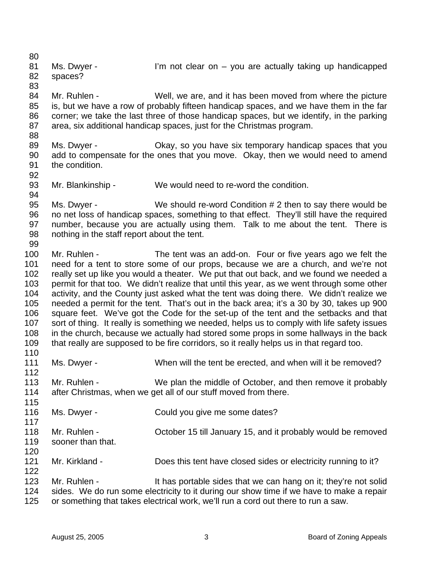81 Ms. Dwyer - I'm not clear on – you are actually taking up handicapped 82 spaces? 83 84 Mr. Ruhlen - Well, we are, and it has been moved from where the picture 85 is, but we have a row of probably fifteen handicap spaces, and we have them in the far 86 corner; we take the last three of those handicap spaces, but we identify, in the parking 87 area, six additional handicap spaces, just for the Christmas program. 88 89 Ms. Dwyer - Okay, so you have six temporary handicap spaces that you 90 add to compensate for the ones that you move. Okay, then we would need to amend 91 the condition. 92 93 Mr. Blankinship - We would need to re-word the condition. 94 95 Ms. Dwyer - We should re-word Condition # 2 then to say there would be 96 no net loss of handicap spaces, something to that effect. They'll still have the required 97 number, because you are actually using them. Talk to me about the tent. There is 98 nothing in the staff report about the tent. 99 100 Mr. Ruhlen - The tent was an add-on. Four or five years ago we felt the 101 need for a tent to store some of our props, because we are a church, and we're not 102 really set up like you would a theater. We put that out back, and we found we needed a 103 permit for that too. We didn't realize that until this year, as we went through some other 104 activity, and the County just asked what the tent was doing there. We didn't realize we 105 needed a permit for the tent. That's out in the back area; it's a 30 by 30, takes up 900 106 square feet. We've got the Code for the set-up of the tent and the setbacks and that 107 sort of thing. It really is something we needed, helps us to comply with life safety issues 108 in the church, because we actually had stored some props in some hallways in the back 109 that really are supposed to be fire corridors, so it really helps us in that regard too. 110 111 Ms. Dwyer - When will the tent be erected, and when will it be removed? 112 113 Mr. Ruhlen - We plan the middle of October, and then remove it probably 114 after Christmas, when we get all of our stuff moved from there. 115 116 Ms. Dwyer - Could you give me some dates? 117 118 Mr. Ruhlen - October 15 till January 15, and it probably would be removed 119 sooner than that. 120 121 Mr. Kirkland - Does this tent have closed sides or electricity running to it? 122 123 Mr. Ruhlen - It has portable sides that we can hang on it; they're not solid 124 sides. We do run some electricity to it during our show time if we have to make a repair 125 or something that takes electrical work, we'll run a cord out there to run a saw.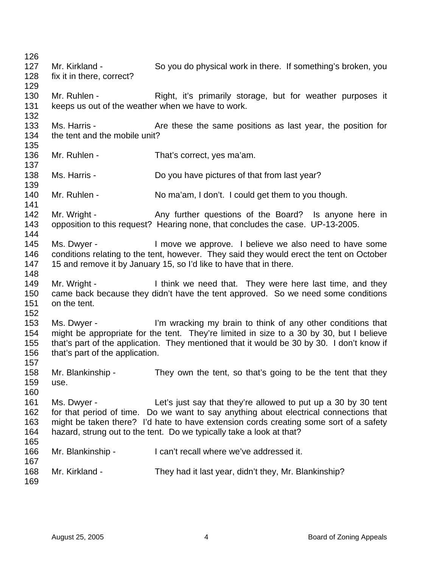126 127 Mr. Kirkland - So you do physical work in there. If something's broken, you 128 fix it in there, correct? 129 130 Mr. Ruhlen - Right, it's primarily storage, but for weather purposes it 131 keeps us out of the weather when we have to work. 132 133 Ms. Harris - Are these the same positions as last year, the position for 134 the tent and the mobile unit? 135 136 Mr. Ruhlen - That's correct, yes ma'am. 137 138 Ms. Harris - Do you have pictures of that from last year? 139 140 Mr. Ruhlen - No ma'am, I don't. I could get them to you though. 141 142 Mr. Wright - Any further questions of the Board? Is anyone here in 143 opposition to this request? Hearing none, that concludes the case. UP-13-2005. 144 145 Ms. Dwyer - I move we approve. I believe we also need to have some 146 conditions relating to the tent, however. They said they would erect the tent on October 147 15 and remove it by January 15, so I'd like to have that in there. 148 149 Mr. Wright - I think we need that. They were here last time, and they 150 came back because they didn't have the tent approved. So we need some conditions 151 on the tent. 152 153 Ms. Dwyer - I'm wracking my brain to think of any other conditions that 154 might be appropriate for the tent. They're limited in size to a 30 by 30, but I believe 155 that's part of the application. They mentioned that it would be 30 by 30. I don't know if 156 that's part of the application. 157 158 Mr. Blankinship - They own the tent, so that's going to be the tent that they 159 use. 160 161 Ms. Dwyer - Let's just say that they're allowed to put up a 30 by 30 tent 162 for that period of time. Do we want to say anything about electrical connections that 163 might be taken there? I'd hate to have extension cords creating some sort of a safety 164 hazard, strung out to the tent. Do we typically take a look at that? 165 166 Mr. Blankinship - I can't recall where we've addressed it. 167 168 Mr. Kirkland - They had it last year, didn't they, Mr. Blankinship? 169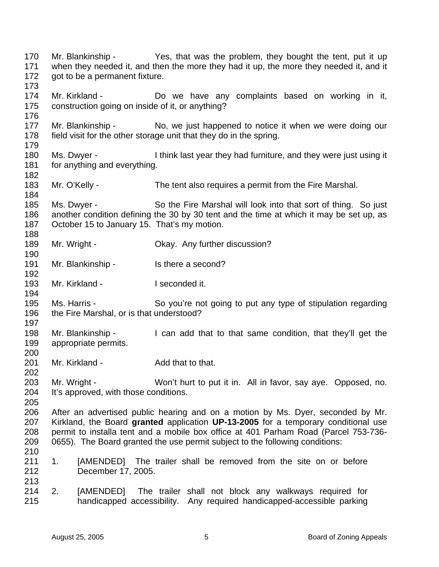170 Mr. Blankinship - Yes, that was the problem, they bought the tent, put it up 171 when they needed it, and then the more they had it up, the more they needed it, and it 172 got to be a permanent fixture. 173 174 Mr. Kirkland - Do we have any complaints based on working in it, 175 construction going on inside of it, or anything? 176 177 Mr. Blankinship - No, we just happened to notice it when we were doing our 178 field visit for the other storage unit that they do in the spring. 179 180 Ms. Dwyer - I think last year they had furniture, and they were just using it 181 for anything and everything. 182 183 Mr. O'Kelly - The tent also requires a permit from the Fire Marshal. 184 185 Ms. Dwyer - So the Fire Marshal will look into that sort of thing. So just 186 another condition defining the 30 by 30 tent and the time at which it may be set up, as 187 October 15 to January 15. That's my motion. 188 189 Mr. Wright - Chay. Any further discussion? 190 191 Mr. Blankinship - Is there a second? 192 193 Mr. Kirkland - I seconded it. 194 195 Ms. Harris - So you're not going to put any type of stipulation regarding 196 the Fire Marshal, or is that understood? 197 198 Mr. Blankinship - I can add that to that same condition, that they'll get the 199 appropriate permits. 200 201 Mr. Kirkland - Add that to that. 202 203 Mr. Wright - Won't hurt to put it in. All in favor, say aye. Opposed, no. 204 It's approved, with those conditions. 205 206 After an advertised public hearing and on a motion by Ms. Dyer, seconded by Mr. 207 Kirkland, the Board **granted** application **UP-13-2005** for a temporary conditional use 208 permit to installa tent and a mobile box office at 401 Parham Road (Parcel 753-736- 209 0655). The Board granted the use permit subject to the following conditions: 210 211 1. [AMENDED] The trailer shall be removed from the site on or before 212 December 17, 2005. 213 214 2. [AMENDED] The trailer shall not block any walkways required for 215 handicapped accessibility. Any required handicapped-accessible parking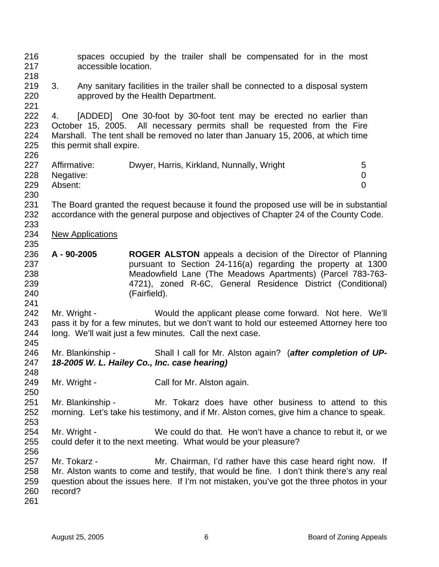216 spaces occupied by the trailer shall be compensated for in the most 217 accessible location. 218 219 3. Any sanitary facilities in the trailer shall be connected to a disposal system 220 approved by the Health Department. 221 222 4. [ADDED] One 30-foot by 30-foot tent may be erected no earlier than 223 October 15, 2005. All necessary permits shall be requested from the Fire 224 Marshall. The tent shall be removed no later than January 15, 2006, at which time 225 this permit shall expire. 226 227 Affirmative: Dwyer, Harris, Kirkland, Nunnally, Wright 5 228 Negative: 0 229 Absent: 0 230 231 The Board granted the request because it found the proposed use will be in substantial 232 accordance with the general purpose and objectives of Chapter 24 of the County Code. 233 234 New Applications 235 236 **A - 90-2005 ROGER ALSTON** appeals a decision of the Director of Planning 237 pursuant to Section 24-116(a) regarding the property at 1300 238 Meadowfield Lane (The Meadows Apartments) (Parcel 783-763- 239 4721), zoned R-6C, General Residence District (Conditional) 240 (Fairfield). 241 242 Mr. Wright - Would the applicant please come forward. Not here. We'll 243 pass it by for a few minutes, but we don't want to hold our esteemed Attorney here too 244 long. We'll wait just a few minutes. Call the next case. 245 246 Mr. Blankinship - Shall I call for Mr. Alston again? (*after completion of UP-*247 *18-2005 W. L. Hailey Co., Inc. case hearing)* 248 249 Mr. Wright - Call for Mr. Alston again. 250 251 Mr. Blankinship - Mr. Tokarz does have other business to attend to this 252 morning. Let's take his testimony, and if Mr. Alston comes, give him a chance to speak. 253 254 Mr. Wright - We could do that. He won't have a chance to rebut it, or we 255 could defer it to the next meeting. What would be your pleasure? 256 257 Mr. Tokarz - Mr. Chairman, I'd rather have this case heard right now. If 258 Mr. Alston wants to come and testify, that would be fine. I don't think there's any real 259 question about the issues here. If I'm not mistaken, you've got the three photos in your 260 record? 261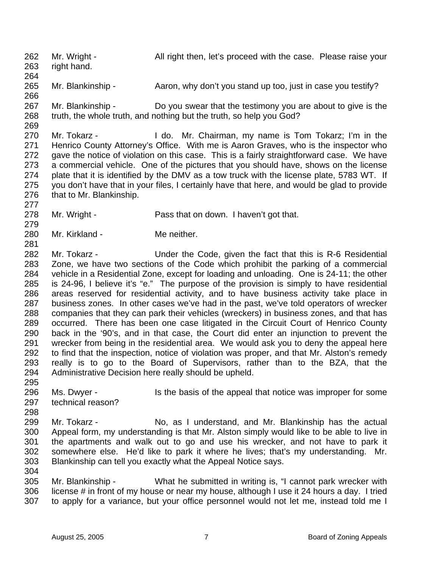262 Mr. Wright - All right then, let's proceed with the case. Please raise your 263 right hand. 264

265 Mr. Blankinship - Aaron, why don't you stand up too, just in case you testify?

267 Mr. Blankinship - Do you swear that the testimony you are about to give is the 268 truth, the whole truth, and nothing but the truth, so help you God?

269

277

279

266

270 Mr. Tokarz - I do. Mr. Chairman, my name is Tom Tokarz; I'm in the 271 Henrico County Attorney's Office. With me is Aaron Graves, who is the inspector who 272 gave the notice of violation on this case. This is a fairly straightforward case. We have 273 a commercial vehicle. One of the pictures that you should have, shows on the license 274 plate that it is identified by the DMV as a tow truck with the license plate, 5783 WT. If 275 you don't have that in your files, I certainly have that here, and would be glad to provide 276 that to Mr. Blankinship.

278 Mr. Wright - Pass that on down. I haven't got that.

280 Mr. Kirkland - Me neither.

281 282 Mr. Tokarz - Under the Code, given the fact that this is R-6 Residential 283 Zone, we have two sections of the Code which prohibit the parking of a commercial 284 vehicle in a Residential Zone, except for loading and unloading. One is 24-11; the other 285 is 24-96, I believe it's "e." The purpose of the provision is simply to have residential 286 areas reserved for residential activity, and to have business activity take place in 287 business zones. In other cases we've had in the past, we've told operators of wrecker 288 companies that they can park their vehicles (wreckers) in business zones, and that has 289 occurred. There has been one case litigated in the Circuit Court of Henrico County 290 back in the '90's, and in that case, the Court did enter an injunction to prevent the 291 wrecker from being in the residential area. We would ask you to deny the appeal here 292 to find that the inspection, notice of violation was proper, and that Mr. Alston's remedy 293 really is to go to the Board of Supervisors, rather than to the BZA, that the 294 Administrative Decision here really should be upheld. 295

296 Ms. Dwyer - Is the basis of the appeal that notice was improper for some 297 technical reason?

298

304

299 Mr. Tokarz - No, as I understand, and Mr. Blankinship has the actual 300 Appeal form, my understanding is that Mr. Alston simply would like to be able to live in 301 the apartments and walk out to go and use his wrecker, and not have to park it 302 somewhere else. He'd like to park it where he lives; that's my understanding. Mr. 303 Blankinship can tell you exactly what the Appeal Notice says.

305 Mr. Blankinship - What he submitted in writing is, "I cannot park wrecker with 306 license # in front of my house or near my house, although I use it 24 hours a day. I tried 307 to apply for a variance, but your office personnel would not let me, instead told me I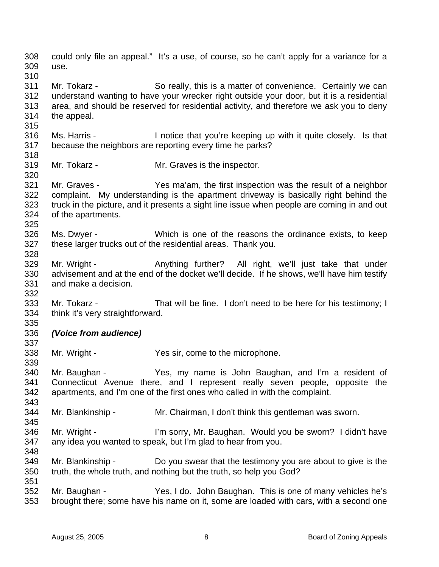308 could only file an appeal." It's a use, of course, so he can't apply for a variance for a 309 use. 310 311 Mr. Tokarz - So really, this is a matter of convenience. Certainly we can 312 understand wanting to have your wrecker right outside your door, but it is a residential 313 area, and should be reserved for residential activity, and therefore we ask you to deny 314 the appeal. 315 316 Ms. Harris - I notice that you're keeping up with it quite closely. Is that 317 because the neighbors are reporting every time he parks? 318 319 Mr. Tokarz - Mr. Graves is the inspector. 320 321 Mr. Graves - Yes ma'am, the first inspection was the result of a neighbor 322 complaint. My understanding is the apartment driveway is basically right behind the 323 truck in the picture, and it presents a sight line issue when people are coming in and out 324 of the apartments. 325 326 Ms. Dwyer - Which is one of the reasons the ordinance exists, to keep 327 these larger trucks out of the residential areas. Thank you. 328 329 Mr. Wright - Anything further? All right, we'll just take that under 330 advisement and at the end of the docket we'll decide. If he shows, we'll have him testify 331 and make a decision. 332 333 Mr. Tokarz - That will be fine. I don't need to be here for his testimony; I 334 think it's very straightforward. 335 336 *(Voice from audience)* 337 338 Mr. Wright - Yes sir, come to the microphone. 339 340 Mr. Baughan - Yes, my name is John Baughan, and I'm a resident of 341 Connecticut Avenue there, and I represent really seven people, opposite the 342 apartments, and I'm one of the first ones who called in with the complaint. 343 344 Mr. Blankinship - Mr. Chairman, I don't think this gentleman was sworn. 345 346 Mr. Wright - I'm sorry, Mr. Baughan. Would you be sworn? I didn't have 347 any idea you wanted to speak, but I'm glad to hear from you. 348 349 Mr. Blankinship - Do you swear that the testimony you are about to give is the 350 truth, the whole truth, and nothing but the truth, so help you God? 351 352 Mr. Baughan - Yes, I do. John Baughan. This is one of many vehicles he's 353 brought there; some have his name on it, some are loaded with cars, with a second one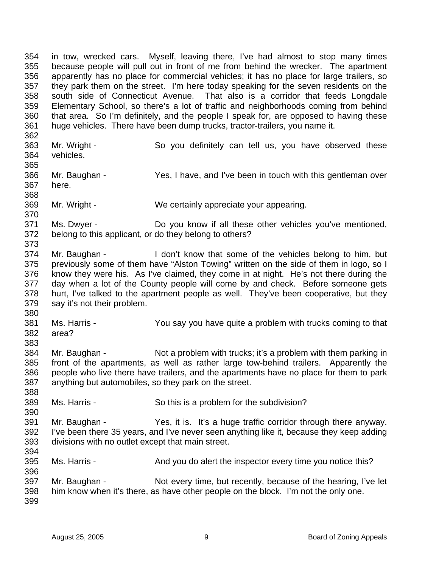354 in tow, wrecked cars. Myself, leaving there, I've had almost to stop many times 355 because people will pull out in front of me from behind the wrecker. The apartment 356 apparently has no place for commercial vehicles; it has no place for large trailers, so 357 they park them on the street. I'm here today speaking for the seven residents on the 358 south side of Connecticut Avenue. That also is a corridor that feeds Longdale 359 Elementary School, so there's a lot of traffic and neighborhoods coming from behind 360 that area. So I'm definitely, and the people I speak for, are opposed to having these 361 huge vehicles. There have been dump trucks, tractor-trailers, you name it. 362 363 Mr. Wright - So you definitely can tell us, you have observed these 364 vehicles. 365 366 Mr. Baughan - Yes, I have, and I've been in touch with this gentleman over 367 here. 368 369 Mr. Wright - We certainly appreciate your appearing. 370 371 Ms. Dwyer - Do you know if all these other vehicles you've mentioned, 372 belong to this applicant, or do they belong to others? 373 374 Mr. Baughan - I don't know that some of the vehicles belong to him, but 375 previously some of them have "Alston Towing" written on the side of them in logo, so I 376 know they were his. As I've claimed, they come in at night. He's not there during the 377 day when a lot of the County people will come by and check. Before someone gets 378 hurt, I've talked to the apartment people as well. They've been cooperative, but they 379 say it's not their problem. 380 381 Ms. Harris - You say you have quite a problem with trucks coming to that 382 area? 383 384 Mr. Baughan - Not a problem with trucks; it's a problem with them parking in 385 front of the apartments, as well as rather large tow-behind trailers. Apparently the 386 people who live there have trailers, and the apartments have no place for them to park 387 anything but automobiles, so they park on the street. 388 389 Ms. Harris - So this is a problem for the subdivision? 390 391 Mr. Baughan - Yes, it is. It's a huge traffic corridor through there anyway. 392 I've been there 35 years, and I've never seen anything like it, because they keep adding 393 divisions with no outlet except that main street. 394 395 Ms. Harris - And you do alert the inspector every time you notice this? 396 397 Mr. Baughan - Not every time, but recently, because of the hearing, I've let 398 him know when it's there, as have other people on the block. I'm not the only one. 399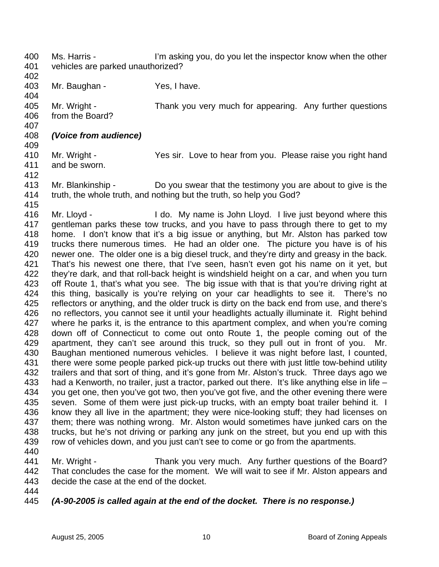400 Ms. Harris - I'm asking you, do you let the inspector know when the other 401 vehicles are parked unauthorized?

402 403 Mr. Baughan - Yes, I have. 404 405 Mr. Wright - Thank you very much for appearing. Any further questions 406 from the Board?

- 408 *(Voice from audience)*
- 410 Mr. Wright Yes sir. Love to hear from you. Please raise you right hand 411 and be sworn.
- 412

407

409

413 Mr. Blankinship - Do you swear that the testimony you are about to give is the 414 truth, the whole truth, and nothing but the truth, so help you God? 415

416 Mr. Lloyd - I do. My name is John Lloyd. I live just beyond where this 417 gentleman parks these tow trucks, and you have to pass through there to get to my 418 home. I don't know that it's a big issue or anything, but Mr. Alston has parked tow 419 trucks there numerous times. He had an older one. The picture you have is of his 420 newer one. The older one is a big diesel truck, and they're dirty and greasy in the back. 421 That's his newest one there, that I've seen, hasn't even got his name on it yet, but 422 they're dark, and that roll-back height is windshield height on a car, and when you turn 423 off Route 1, that's what you see. The big issue with that is that you're driving right at 424 this thing, basically is you're relying on your car headlights to see it. There's no 425 reflectors or anything, and the older truck is dirty on the back end from use, and there's 426 no reflectors, you cannot see it until your headlights actually illuminate it. Right behind 427 where he parks it, is the entrance to this apartment complex, and when you're coming 428 down off of Connecticut to come out onto Route 1, the people coming out of the 429 apartment, they can't see around this truck, so they pull out in front of you. Mr. 430 Baughan mentioned numerous vehicles. I believe it was night before last, I counted, 431 there were some people parked pick-up trucks out there with just little tow-behind utility 432 trailers and that sort of thing, and it's gone from Mr. Alston's truck. Three days ago we 433 had a Kenworth, no trailer, just a tractor, parked out there. It's like anything else in life – 434 you get one, then you've got two, then you've got five, and the other evening there were 435 seven. Some of them were just pick-up trucks, with an empty boat trailer behind it. I 436 know they all live in the apartment; they were nice-looking stuff; they had licenses on 437 them; there was nothing wrong. Mr. Alston would sometimes have junked cars on the 438 trucks, but he's not driving or parking any junk on the street, but you end up with this 439 row of vehicles down, and you just can't see to come or go from the apartments.

440

441 Mr. Wright - Thank you very much. Any further questions of the Board? 442 That concludes the case for the moment. We will wait to see if Mr. Alston appears and 443 decide the case at the end of the docket.

- 444
- 445 *(A-90-2005 is called again at the end of the docket. There is no response.)*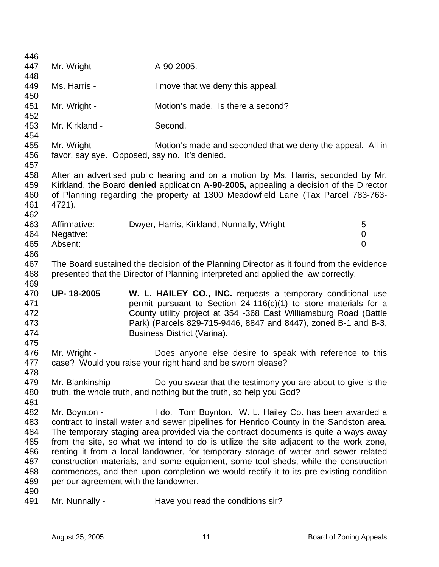| 446        |                   |                                                                                         |                |
|------------|-------------------|-----------------------------------------------------------------------------------------|----------------|
| 447        | Mr. Wright -      | A-90-2005.                                                                              |                |
| 448        |                   |                                                                                         |                |
| 449        | Ms. Harris -      | I move that we deny this appeal.                                                        |                |
| 450        |                   |                                                                                         |                |
| 451        | Mr. Wright -      | Motion's made. Is there a second?                                                       |                |
| 452        |                   |                                                                                         |                |
| 453        | Mr. Kirkland -    | Second.                                                                                 |                |
| 454        |                   |                                                                                         |                |
| 455        | Mr. Wright -      | Motion's made and seconded that we deny the appeal. All in                              |                |
| 456        |                   | favor, say aye. Opposed, say no. It's denied.                                           |                |
| 457        |                   |                                                                                         |                |
| 458        |                   | After an advertised public hearing and on a motion by Ms. Harris, seconded by Mr.       |                |
| 459        |                   | Kirkland, the Board denied application A-90-2005, appealing a decision of the Director  |                |
| 460        |                   | of Planning regarding the property at 1300 Meadowfield Lane (Tax Parcel 783-763-        |                |
| 461<br>462 | 4721).            |                                                                                         |                |
| 463        | Affirmative:      | Dwyer, Harris, Kirkland, Nunnally, Wright                                               | 5              |
| 464        | Negative:         |                                                                                         | $\mathbf 0$    |
| 465        | Absent:           |                                                                                         | $\overline{0}$ |
| 466        |                   |                                                                                         |                |
| 467        |                   | The Board sustained the decision of the Planning Director as it found from the evidence |                |
| 468        |                   | presented that the Director of Planning interpreted and applied the law correctly.      |                |
| 469        |                   |                                                                                         |                |
| 470        | UP-18-2005        | W. L. HAILEY CO., INC. requests a temporary conditional use                             |                |
| 471        |                   | permit pursuant to Section $24-116(c)(1)$ to store materials for a                      |                |
| 472        |                   | County utility project at 354 -368 East Williamsburg Road (Battle                       |                |
| 473        |                   | Park) (Parcels 829-715-9446, 8847 and 8447), zoned B-1 and B-3,                         |                |
| 474        |                   | Business District (Varina).                                                             |                |
| 475        |                   |                                                                                         |                |
| 476        | Mr. Wright -      | Does anyone else desire to speak with reference to this                                 |                |
| 477        |                   | case? Would you raise your right hand and be sworn please?                              |                |
| 478        |                   |                                                                                         |                |
| 479        |                   |                                                                                         |                |
| 480        | Mr. Blankinship - | Do you swear that the testimony you are about to give is the                            |                |
|            |                   | truth, the whole truth, and nothing but the truth, so help you God?                     |                |
| 481        |                   |                                                                                         |                |
| 482        | Mr. Boynton -     | I do. Tom Boynton. W. L. Hailey Co. has been awarded a                                  |                |
| 483        |                   | contract to install water and sewer pipelines for Henrico County in the Sandston area.  |                |
| 484        |                   | The temporary staging area provided via the contract documents is quite a ways away     |                |
| 485        |                   | from the site, so what we intend to do is utilize the site adjacent to the work zone,   |                |
| 486        |                   | renting it from a local landowner, for temporary storage of water and sewer related     |                |
| 487        |                   | construction materials, and some equipment, some tool sheds, while the construction     |                |
| 488        |                   | commences, and then upon completion we would rectify it to its pre-existing condition   |                |
| 489        |                   | per our agreement with the landowner.                                                   |                |
| 490<br>491 | Mr. Nunnally -    | Have you read the conditions sir?                                                       |                |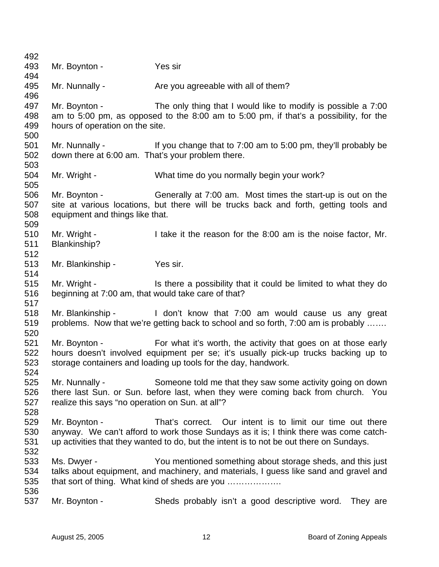492 493 Mr. Boynton - Yes sir 494 495 Mr. Nunnally - Are you agreeable with all of them? 496 497 Mr. Boynton - The only thing that I would like to modify is possible a 7:00 498 am to 5:00 pm, as opposed to the 8:00 am to 5:00 pm, if that's a possibility, for the 499 hours of operation on the site. 500 501 Mr. Nunnally - If you change that to 7:00 am to 5:00 pm, they'll probably be 502 down there at 6:00 am. That's your problem there. 503 504 Mr. Wright - What time do you normally begin your work? 505 506 Mr. Boynton - Generally at 7:00 am. Most times the start-up is out on the 507 site at various locations, but there will be trucks back and forth, getting tools and 508 equipment and things like that. 509 510 Mr. Wright - I take it the reason for the 8:00 am is the noise factor, Mr. 511 Blankinship? 512 513 Mr. Blankinship - Yes sir. 514 515 Mr. Wright - Is there a possibility that it could be limited to what they do 516 beginning at 7:00 am, that would take care of that? 517 518 Mr. Blankinship - I don't know that 7:00 am would cause us any great 519 problems. Now that we're getting back to school and so forth, 7:00 am is probably ……. 520 521 Mr. Boynton - For what it's worth, the activity that goes on at those early 522 hours doesn't involved equipment per se; it's usually pick-up trucks backing up to 523 storage containers and loading up tools for the day, handwork. 524 525 Mr. Nunnally - Someone told me that they saw some activity going on down 526 there last Sun. or Sun. before last, when they were coming back from church. You 527 realize this says "no operation on Sun. at all"? 528 529 Mr. Boynton - That's correct. Our intent is to limit our time out there 530 anyway. We can't afford to work those Sundays as it is; I think there was come catch-531 up activities that they wanted to do, but the intent is to not be out there on Sundays. 532 533 Ms. Dwyer - You mentioned something about storage sheds, and this just 534 talks about equipment, and machinery, and materials, I guess like sand and gravel and 535 that sort of thing. What kind of sheds are you ………………. 536 537 Mr. Boynton - Sheds probably isn't a good descriptive word. They are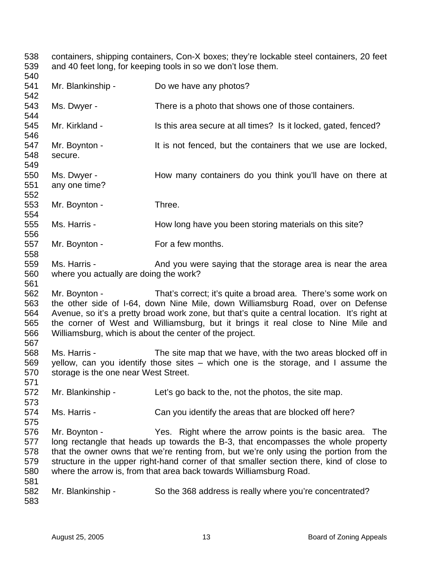538 containers, shipping containers, Con-X boxes; they're lockable steel containers, 20 feet 539 and 40 feet long, for keeping tools in so we don't lose them.

540 541 Mr. Blankinship - Do we have any photos? 542 543 Ms. Dwyer - There is a photo that shows one of those containers. 544 545 Mr. Kirkland - Is this area secure at all times? Is it locked, gated, fenced? 546 547 Mr. Boynton - It is not fenced, but the containers that we use are locked, 548 secure. 549 550 Ms. Dwyer - How many containers do you think you'll have on there at 551 any one time? 552 553 Mr. Boynton - Three. 554 555 Ms. Harris - How long have you been storing materials on this site? 556 557 Mr. Boynton - For a few months. 558 559 Ms. Harris - And you were saying that the storage area is near the area 560 where you actually are doing the work? 561 562 Mr. Boynton - That's correct; it's quite a broad area. There's some work on 563 the other side of I-64, down Nine Mile, down Williamsburg Road, over on Defense 564 Avenue, so it's a pretty broad work zone, but that's quite a central location. It's right at 565 the corner of West and Williamsburg, but it brings it real close to Nine Mile and 566 Williamsburg, which is about the center of the project. 567 568 Ms. Harris - The site map that we have, with the two areas blocked off in 569 yellow, can you identify those sites – which one is the storage, and I assume the 570 storage is the one near West Street. 571 572 Mr. Blankinship - Let's go back to the, not the photos, the site map. 573 574 Ms. Harris - Can you identify the areas that are blocked off here? 575 576 Mr. Boynton - Yes. Right where the arrow points is the basic area. The 577 long rectangle that heads up towards the B-3, that encompasses the whole property 578 that the owner owns that we're renting from, but we're only using the portion from the 579 structure in the upper right-hand corner of that smaller section there, kind of close to 580 where the arrow is, from that area back towards Williamsburg Road. 581 582 Mr. Blankinship - So the 368 address is really where you're concentrated? 583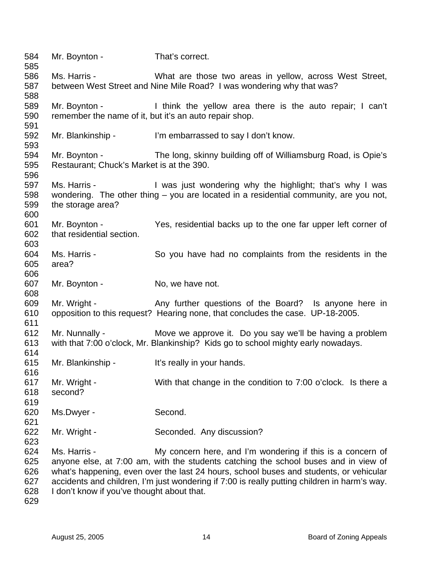584 Mr. Boynton - That's correct. 585 586 Ms. Harris - What are those two areas in yellow, across West Street, 587 between West Street and Nine Mile Road? I was wondering why that was? 588 589 Mr. Boynton - I think the yellow area there is the auto repair; I can't 590 remember the name of it, but it's an auto repair shop. 591 592 Mr. Blankinship - I'm embarrassed to say I don't know. 593 594 Mr. Boynton - The long, skinny building off of Williamsburg Road, is Opie's 595 Restaurant; Chuck's Market is at the 390. 596 597 Ms. Harris - I was just wondering why the highlight; that's why I was 598 wondering. The other thing – you are located in a residential community, are you not, 599 the storage area? 600 601 Mr. Boynton - Yes, residential backs up to the one far upper left corner of 602 that residential section. 603 604 Ms. Harris - So you have had no complaints from the residents in the 605 area? 606 607 Mr. Boynton - No, we have not. 608 609 Mr. Wright - Any further questions of the Board? Is anyone here in 610 opposition to this request? Hearing none, that concludes the case. UP-18-2005. 611 612 Mr. Nunnally - Move we approve it. Do you say we'll be having a problem 613 with that 7:00 o'clock, Mr. Blankinship? Kids go to school mighty early nowadays. 614 615 Mr. Blankinship - It's really in your hands. 616 617 Mr. Wright - With that change in the condition to 7:00 o'clock. Is there a 618 second? 619 620 Ms.Dwyer - Second. 621 622 Mr. Wright - Seconded. Any discussion? 623 624 Ms. Harris - My concern here, and I'm wondering if this is a concern of 625 anyone else, at 7:00 am, with the students catching the school buses and in view of 626 what's happening, even over the last 24 hours, school buses and students, or vehicular 627 accidents and children, I'm just wondering if 7:00 is really putting children in harm's way. 628 I don't know if you've thought about that. 629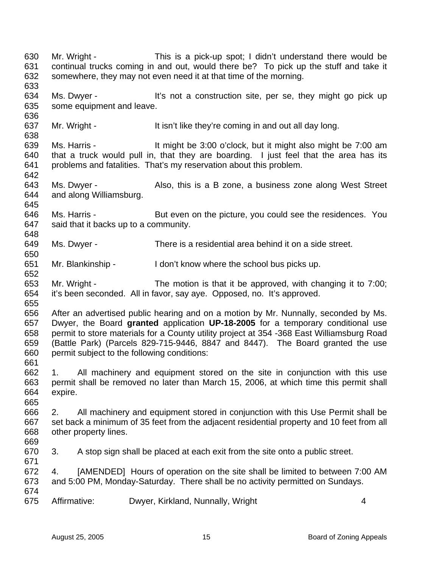634 Ms. Dwyer - It's not a construction site, per se, they might go pick up 635 some equipment and leave. 636 637 Mr. Wright - It isn't like they're coming in and out all day long. 638 639 Ms. Harris - It might be 3:00 o'clock, but it might also might be 7:00 am 640 that a truck would pull in, that they are boarding. I just feel that the area has its 641 problems and fatalities. That's my reservation about this problem. 642 643 Ms. Dwyer - Also, this is a B zone, a business zone along West Street 644 and along Williamsburg. 645 646 Ms. Harris - But even on the picture, you could see the residences. You 647 said that it backs up to a community. 648 649 Ms. Dwyer - There is a residential area behind it on a side street. 650 651 Mr. Blankinship - I don't know where the school bus picks up. 652 653 Mr. Wright - The motion is that it be approved, with changing it to 7:00; 654 it's been seconded. All in favor, say aye. Opposed, no. It's approved. 655 656 After an advertised public hearing and on a motion by Mr. Nunnally, seconded by Ms. 657 Dwyer, the Board **granted** application **UP-18-2005** for a temporary conditional use 658 permit to store materials for a County utility project at 354 -368 East Williamsburg Road 659 (Battle Park) (Parcels 829-715-9446, 8847 and 8447). The Board granted the use 660 permit subject to the following conditions: 661 662 1. All machinery and equipment stored on the site in conjunction with this use 663 permit shall be removed no later than March 15, 2006, at which time this permit shall 664 expire. 665 666 2. All machinery and equipment stored in conjunction with this Use Permit shall be 667 set back a minimum of 35 feet from the adjacent residential property and 10 feet from all 668 other property lines. 669 670 3. A stop sign shall be placed at each exit from the site onto a public street. 671 672 4. [AMENDED] Hours of operation on the site shall be limited to between 7:00 AM 673 and 5:00 PM, Monday-Saturday. There shall be no activity permitted on Sundays. 674 675 Affirmative: Dwyer, Kirkland, Nunnally, Wright 4

630 Mr. Wright - This is a pick-up spot; I didn't understand there would be 631 continual trucks coming in and out, would there be? To pick up the stuff and take it

632 somewhere, they may not even need it at that time of the morning.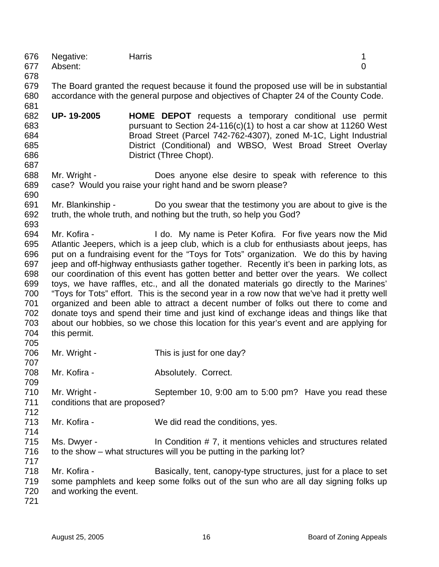|         | 676 Negative: | Harris |  |
|---------|---------------|--------|--|
|         | 677 Absent:   |        |  |
| $- - -$ |               |        |  |

678

681

687

679 The Board granted the request because it found the proposed use will be in substantial 680 accordance with the general purpose and objectives of Chapter 24 of the County Code.

682 **UP- 19-2005 HOME DEPOT** requests a temporary conditional use permit 683 pursuant to Section 24-116(c)(1) to host a car show at 11260 West 684 Broad Street (Parcel 742-762-4307), zoned M-1C, Light Industrial 685 District (Conditional) and WBSO, West Broad Street Overlay 686 District (Three Chopt).

688 Mr. Wright - Does anyone else desire to speak with reference to this 689 case? Would you raise your right hand and be sworn please? 690

- 691 Mr. Blankinship Do you swear that the testimony you are about to give is the 692 truth, the whole truth, and nothing but the truth, so help you God?
- 693 694 Mr. Kofira - I do. My name is Peter Kofira. For five years now the Mid 695 Atlantic Jeepers, which is a jeep club, which is a club for enthusiasts about jeeps, has 696 put on a fundraising event for the "Toys for Tots" organization. We do this by having 697 jeep and off-highway enthusiasts gather together. Recently it's been in parking lots, as 698 our coordination of this event has gotten better and better over the years. We collect 699 toys, we have raffles, etc., and all the donated materials go directly to the Marines' 700 "Toys for Tots" effort. This is the second year in a row now that we've had it pretty well 701 organized and been able to attract a decent number of folks out there to come and 702 donate toys and spend their time and just kind of exchange ideas and things like that 703 about our hobbies, so we chose this location for this year's event and are applying for 704 this permit.
- 706 Mr. Wright This is just for one day? 707
- 708 Mr. Kofira **Absolutely. Correct.**
- 709 710 Mr. Wright - September 10, 9:00 am to 5:00 pm? Have you read these 711 conditions that are proposed?
- 713 Mr. Kofira We did read the conditions, yes. 714
- 715 Ms. Dwyer In Condition # 7, it mentions vehicles and structures related 716 to the show – what structures will you be putting in the parking lot? 717
- 718 Mr. Kofira Basically, tent, canopy-type structures, just for a place to set 719 some pamphlets and keep some folks out of the sun who are all day signing folks up 720 and working the event.
- 721

705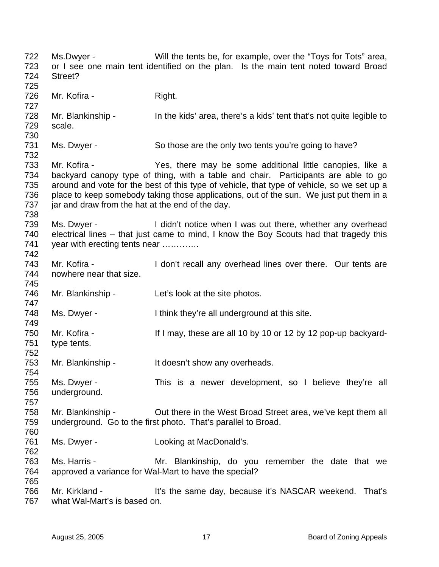722 Ms.Dwyer - Will the tents be, for example, over the "Toys for Tots" area, 723 or I see one main tent identified on the plan. Is the main tent noted toward Broad 724 Street? 725 726 Mr. Kofira - Right. 727 728 Mr. Blankinship - In the kids' area, there's a kids' tent that's not quite legible to 729 scale. 730 731 Ms. Dwyer - So those are the only two tents you're going to have? 732 733 Mr. Kofira - Yes, there may be some additional little canopies, like a 734 backyard canopy type of thing, with a table and chair. Participants are able to go 735 around and vote for the best of this type of vehicle, that type of vehicle, so we set up a 736 place to keep somebody taking those applications, out of the sun. We just put them in a 737 jar and draw from the hat at the end of the day. 738 739 Ms. Dwyer - I didn't notice when I was out there, whether any overhead 740 electrical lines – that just came to mind, I know the Boy Scouts had that tragedy this 741 year with erecting tents near ............ 742 743 Mr. Kofira - I don't recall any overhead lines over there. Our tents are 744 nowhere near that size. 745 746 Mr. Blankinship - Let's look at the site photos. 747 748 Ms. Dwyer - I think they're all underground at this site. 749 750 Mr. Kofira - If I may, these are all 10 by 10 or 12 by 12 pop-up backyard-751 type tents. 752 753 Mr. Blankinship - It doesn't show any overheads. 754 755 Ms. Dwyer - This is a newer development, so I believe they're all 756 underground. 757 758 Mr. Blankinship - Out there in the West Broad Street area, we've kept them all 759 underground. Go to the first photo. That's parallel to Broad. 760 761 Ms. Dwyer - Looking at MacDonald's. 762 763 Ms. Harris - Mr. Blankinship, do you remember the date that we 764 approved a variance for Wal-Mart to have the special? 765 766 Mr. Kirkland - It's the same day, because it's NASCAR weekend. That's 767 what Wal-Mart's is based on.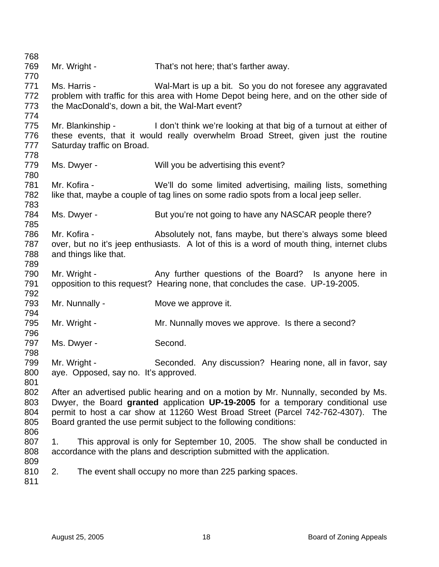768 769 Mr. Wright - That's not here; that's farther away. 770 771 Ms. Harris - Wal-Mart is up a bit. So you do not foresee any aggravated 772 problem with traffic for this area with Home Depot being here, and on the other side of 773 the MacDonald's, down a bit, the Wal-Mart event? 774 775 Mr. Blankinship - I don't think we're looking at that big of a turnout at either of 776 these events, that it would really overwhelm Broad Street, given just the routine 777 Saturday traffic on Broad. 778 779 Ms. Dwyer - Will you be advertising this event? 780 781 Mr. Kofira - We'll do some limited advertising, mailing lists, something 782 like that, maybe a couple of tag lines on some radio spots from a local jeep seller. 783 784 Ms. Dwyer - But you're not going to have any NASCAR people there? 785 786 Mr. Kofira - Absolutely not, fans maybe, but there's always some bleed 787 over, but no it's jeep enthusiasts. A lot of this is a word of mouth thing, internet clubs 788 and things like that. 789 790 Mr. Wright - Any further questions of the Board? Is anyone here in 791 opposition to this request? Hearing none, that concludes the case. UP-19-2005. 792 793 Mr. Nunnally - Move we approve it. 794 795 Mr. Wright - Mr. Nunnally moves we approve. Is there a second? 796 797 Ms. Dwyer - Second. 798 799 Mr. Wright - Seconded. Any discussion? Hearing none, all in favor, say 800 aye. Opposed, say no. It's approved. 801 802 After an advertised public hearing and on a motion by Mr. Nunnally, seconded by Ms. 803 Dwyer, the Board **granted** application **UP-19-2005** for a temporary conditional use 804 permit to host a car show at 11260 West Broad Street (Parcel 742-762-4307). The 805 Board granted the use permit subject to the following conditions: 806 807 1. This approval is only for September 10, 2005. The show shall be conducted in 808 accordance with the plans and description submitted with the application. 809 810 2. The event shall occupy no more than 225 parking spaces. 811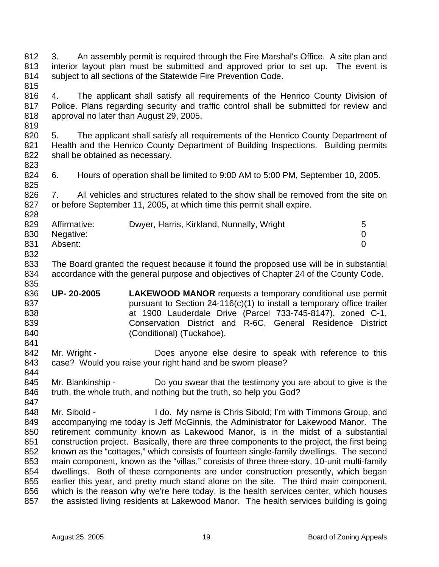812 3. An assembly permit is required through the Fire Marshal's Office. A site plan and 813 interior layout plan must be submitted and approved prior to set up. The event is 814 subject to all sections of the Statewide Fire Prevention Code. 815

816 4. The applicant shall satisfy all requirements of the Henrico County Division of 817 Police. Plans regarding security and traffic control shall be submitted for review and 818 approval no later than August 29, 2005.

820 5. The applicant shall satisfy all requirements of the Henrico County Department of 821 Health and the Henrico County Department of Building Inspections. Building permits 822 shall be obtained as necessary.

824 6. Hours of operation shall be limited to 9:00 AM to 5:00 PM, September 10, 2005.

826 7. All vehicles and structures related to the show shall be removed from the site on 827 or before September 11, 2005, at which time this permit shall expire.

| 829 | Affirmative: | Dwyer, Harris, Kirkland, Nunnally, Wright | 5 |
|-----|--------------|-------------------------------------------|---|
| 830 | Negative:    |                                           |   |
| 831 | Absent:      |                                           |   |
| 832 |              |                                           |   |

833 The Board granted the request because it found the proposed use will be in substantial 834 accordance with the general purpose and objectives of Chapter 24 of the County Code. 835

- 836 **UP- 20-2005 LAKEWOOD MANOR** requests a temporary conditional use permit 837 bursuant to Section 24-116(c)(1) to install a temporary office trailer 838 at 1900 Lauderdale Drive (Parcel 733-745-8147), zoned C-1, 839 Conservation District and R-6C, General Residence District 840 (Conditional) (Tuckahoe).
- 842 Mr. Wright Does anyone else desire to speak with reference to this 843 case? Would you raise your right hand and be sworn please?
- 845 Mr. Blankinship Do you swear that the testimony you are about to give is the 846 truth, the whole truth, and nothing but the truth, so help you God?

848 Mr. Sibold - I do. My name is Chris Sibold; I'm with Timmons Group, and 849 accompanying me today is Jeff McGinnis, the Administrator for Lakewood Manor. The 850 retirement community known as Lakewood Manor, is in the midst of a substantial 851 construction project. Basically, there are three components to the project, the first being 852 known as the "cottages," which consists of fourteen single-family dwellings. The second 853 main component, known as the "villas," consists of three three-story, 10-unit multi-family 854 dwellings. Both of these components are under construction presently, which began 855 earlier this year, and pretty much stand alone on the site. The third main component, 856 which is the reason why we're here today, is the health services center, which houses 857 the assisted living residents at Lakewood Manor. The health services building is going

819

823

825

828

841

844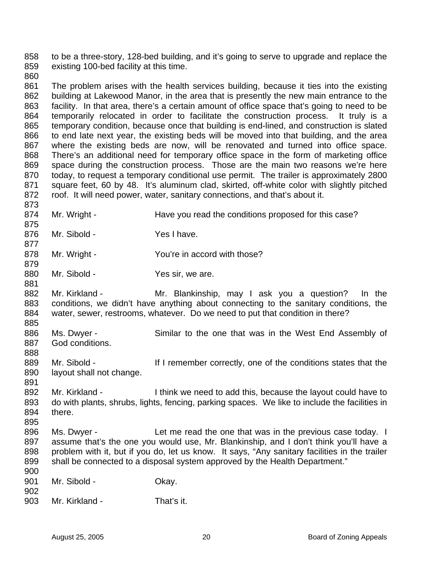858 to be a three-story, 128-bed building, and it's going to serve to upgrade and replace the 859 existing 100-bed facility at this time.

860

873

875

877

879

881

885

888

891

861 The problem arises with the health services building, because it ties into the existing 862 building at Lakewood Manor, in the area that is presently the new main entrance to the 863 facility. In that area, there's a certain amount of office space that's going to need to be 864 temporarily relocated in order to facilitate the construction process. It truly is a 865 temporary condition, because once that building is end-lined, and construction is slated 866 to end late next year, the existing beds will be moved into that building, and the area 867 where the existing beds are now, will be renovated and turned into office space. 868 There's an additional need for temporary office space in the form of marketing office 869 space during the construction process. Those are the main two reasons we're here 870 today, to request a temporary conditional use permit. The trailer is approximately 2800 871 square feet, 60 by 48. It's aluminum clad, skirted, off-white color with slightly pitched 872 roof. It will need power, water, sanitary connections, and that's about it.

- 874 Mr. Wright Have you read the conditions proposed for this case?
- 876 Mr. Sibold Yes I have.
- 878 Mr. Wright You're in accord with those?
- 880 Mr. Sibold Yes sir, we are.
- 882 Mr. Kirkland Mr. Blankinship, may I ask you a question? In the 883 conditions, we didn't have anything about connecting to the sanitary conditions, the 884 water, sewer, restrooms, whatever. Do we need to put that condition in there?
- 886 Ms. Dwyer Similar to the one that was in the West End Assembly of 887 God conditions.
- 889 Mr. Sibold If I remember correctly, one of the conditions states that the 890 layout shall not change.
- 892 Mr. Kirkland I think we need to add this, because the layout could have to 893 do with plants, shrubs, lights, fencing, parking spaces. We like to include the facilities in 894 there. 895
- 896 Ms. Dwyer Let me read the one that was in the previous case today. I 897 assume that's the one you would use, Mr. Blankinship, and I don't think you'll have a 898 problem with it, but if you do, let us know. It says, "Any sanitary facilities in the trailer 899 shall be connected to a disposal system approved by the Health Department."
- 900 901 Mr. Sibold - Okay.
- 902
- 903 Mr. Kirkland That's it.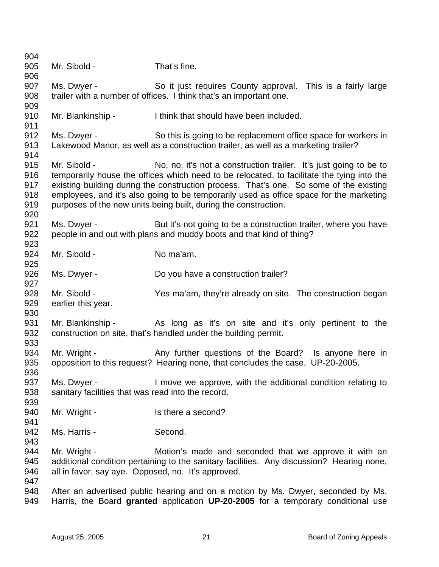| 904        |                                                    |                                                                                                                                                                      |
|------------|----------------------------------------------------|----------------------------------------------------------------------------------------------------------------------------------------------------------------------|
| 905        | Mr. Sibold -                                       | That's fine.                                                                                                                                                         |
| 906        |                                                    |                                                                                                                                                                      |
| 907        | Ms. Dwyer -                                        | So it just requires County approval. This is a fairly large                                                                                                          |
| 908        |                                                    | trailer with a number of offices. I think that's an important one.                                                                                                   |
| 909        |                                                    |                                                                                                                                                                      |
| 910        | Mr. Blankinship -                                  | I think that should have been included.                                                                                                                              |
| 911        |                                                    |                                                                                                                                                                      |
| 912        | Ms. Dwyer -                                        | So this is going to be replacement office space for workers in                                                                                                       |
| 913        |                                                    | Lakewood Manor, as well as a construction trailer, as well as a marketing trailer?                                                                                   |
| 914        |                                                    |                                                                                                                                                                      |
| 915        | Mr. Sibold -                                       | No, no, it's not a construction trailer. It's just going to be to                                                                                                    |
| 916        |                                                    | temporarily house the offices which need to be relocated, to facilitate the tying into the                                                                           |
| 917        |                                                    | existing building during the construction process. That's one. So some of the existing                                                                               |
| 918        |                                                    | employees, and it's also going to be temporarily used as office space for the marketing                                                                              |
| 919        |                                                    | purposes of the new units being built, during the construction.                                                                                                      |
| 920        |                                                    |                                                                                                                                                                      |
| 921        | Ms. Dwyer -                                        | But it's not going to be a construction trailer, where you have                                                                                                      |
| 922        |                                                    | people in and out with plans and muddy boots and that kind of thing?                                                                                                 |
| 923        |                                                    |                                                                                                                                                                      |
| 924        | Mr. Sibold -                                       | No ma'am.                                                                                                                                                            |
| 925        |                                                    |                                                                                                                                                                      |
| 926        | Ms. Dwyer -                                        | Do you have a construction trailer?                                                                                                                                  |
| 927        |                                                    |                                                                                                                                                                      |
| 928        | Mr. Sibold -                                       | Yes ma'am, they're already on site. The construction began                                                                                                           |
| 929        | earlier this year.                                 |                                                                                                                                                                      |
| 930        |                                                    |                                                                                                                                                                      |
| 931        | Mr. Blankinship -                                  | As long as it's on site and it's only pertinent to the                                                                                                               |
| 932        |                                                    | construction on site, that's handled under the building permit.                                                                                                      |
| 933        |                                                    |                                                                                                                                                                      |
| 934        | Mr. Wright -                                       | Any further questions of the Board? Is anyone here in                                                                                                                |
| 935        |                                                    | opposition to this request? Hearing none, that concludes the case. UP-20-2005.                                                                                       |
| 936        |                                                    |                                                                                                                                                                      |
| 937        | Ms. Dwyer -                                        | I move we approve, with the additional condition relating to                                                                                                         |
| 938        | sanitary facilities that was read into the record. |                                                                                                                                                                      |
| 939        |                                                    |                                                                                                                                                                      |
| 940        | Mr. Wright -                                       | Is there a second?                                                                                                                                                   |
| 941        |                                                    |                                                                                                                                                                      |
| 942        | Ms. Harris -                                       | Second.                                                                                                                                                              |
| 943        |                                                    |                                                                                                                                                                      |
| 944        | Mr. Wright -                                       | Motion's made and seconded that we approve it with an                                                                                                                |
| 945        |                                                    | additional condition pertaining to the sanitary facilities. Any discussion? Hearing none,                                                                            |
| 946        | all in favor, say aye. Opposed, no. It's approved. |                                                                                                                                                                      |
| 947        |                                                    |                                                                                                                                                                      |
| 948<br>949 |                                                    | After an advertised public hearing and on a motion by Ms. Dwyer, seconded by Ms.<br>Harris, the Board granted application UP-20-2005 for a temporary conditional use |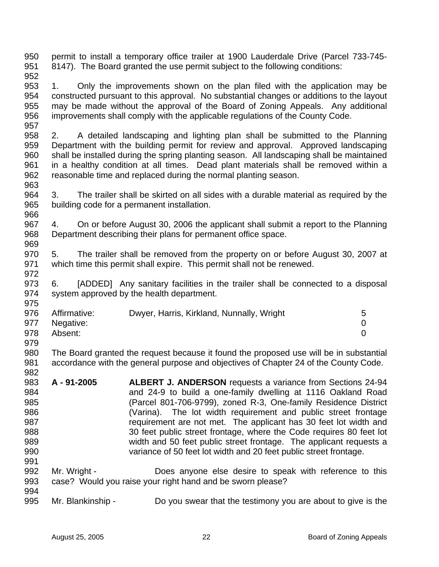950 permit to install a temporary office trailer at 1900 Lauderdale Drive (Parcel 733-745- 951 8147). The Board granted the use permit subject to the following conditions: 952

953 1. Only the improvements shown on the plan filed with the application may be 954 constructed pursuant to this approval. No substantial changes or additions to the layout 955 may be made without the approval of the Board of Zoning Appeals. Any additional 956 improvements shall comply with the applicable regulations of the County Code. 957

958 2. A detailed landscaping and lighting plan shall be submitted to the Planning 959 Department with the building permit for review and approval. Approved landscaping 960 shall be installed during the spring planting season. All landscaping shall be maintained 961 in a healthy condition at all times. Dead plant materials shall be removed within a 962 reasonable time and replaced during the normal planting season. 963

964 3. The trailer shall be skirted on all sides with a durable material as required by the 965 building code for a permanent installation. 966

967 4. On or before August 30, 2006 the applicant shall submit a report to the Planning 968 Department describing their plans for permanent office space. 969

970 5. The trailer shall be removed from the property on or before August 30, 2007 at 971 which time this permit shall expire. This permit shall not be renewed.

973 6. [ADDED] Any sanitary facilities in the trailer shall be connected to a disposal 974 system approved by the health department.

|     | 976 Affirmative: | Dwyer, Harris, Kirkland, Nunnally, Wright | 5 |
|-----|------------------|-------------------------------------------|---|
|     | 977 Negative:    |                                           |   |
| 978 | Absent:          |                                           |   |
| 979 |                  |                                           |   |

980 The Board granted the request because it found the proposed use will be in substantial 981 accordance with the general purpose and objectives of Chapter 24 of the County Code.

- 983 **A 91-2005 ALBERT J. ANDERSON** requests a variance from Sections 24-94 984 and 24-9 to build a one-family dwelling at 1116 Oakland Road 985 (Parcel 801-706-9799), zoned R-3, One-family Residence District 986 (Varina). The lot width requirement and public street frontage 987 requirement are not met. The applicant has 30 feet lot width and 988 30 feet public street frontage, where the Code requires 80 feet lot 989 width and 50 feet public street frontage. The applicant requests a 990 variance of 50 feet lot width and 20 feet public street frontage. 991
- 992 Mr. Wright Does anyone else desire to speak with reference to this 993 case? Would you raise your right hand and be sworn please? 994
- 995 Mr. Blankinship Do you swear that the testimony you are about to give is the

972

975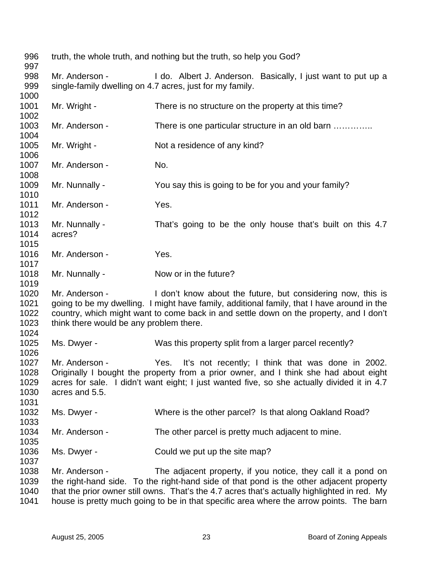| 996<br>997                           |                                                           | truth, the whole truth, and nothing but the truth, so help you God?                                                                                                                                                                                 |
|--------------------------------------|-----------------------------------------------------------|-----------------------------------------------------------------------------------------------------------------------------------------------------------------------------------------------------------------------------------------------------|
| 998<br>999                           | Mr. Anderson -                                            | I do. Albert J. Anderson. Basically, I just want to put up a<br>single-family dwelling on 4.7 acres, just for my family.                                                                                                                            |
| 1000                                 |                                                           |                                                                                                                                                                                                                                                     |
| 1001<br>1002                         | Mr. Wright -                                              | There is no structure on the property at this time?                                                                                                                                                                                                 |
| 1003<br>1004                         | Mr. Anderson -                                            | There is one particular structure in an old barn                                                                                                                                                                                                    |
| 1005<br>1006                         | Mr. Wright -                                              | Not a residence of any kind?                                                                                                                                                                                                                        |
| 1007<br>1008                         | Mr. Anderson -                                            | No.                                                                                                                                                                                                                                                 |
| 1009<br>1010                         | Mr. Nunnally -                                            | You say this is going to be for you and your family?                                                                                                                                                                                                |
| 1011<br>1012                         | Mr. Anderson -                                            | Yes.                                                                                                                                                                                                                                                |
| 1013<br>1014<br>1015                 | Mr. Nunnally -<br>acres?                                  | That's going to be the only house that's built on this 4.7                                                                                                                                                                                          |
| 1016<br>1017                         | Mr. Anderson -                                            | Yes.                                                                                                                                                                                                                                                |
| 1018<br>1019                         | Mr. Nunnally -                                            | Now or in the future?                                                                                                                                                                                                                               |
| 1020<br>1021<br>1022<br>1023<br>1024 | Mr. Anderson -<br>think there would be any problem there. | I don't know about the future, but considering now, this is<br>going to be my dwelling. I might have family, additional family, that I have around in the<br>country, which might want to come back in and settle down on the property, and I don't |
| 1025<br>1026                         | Ms. Dwyer -                                               | Was this property split from a larger parcel recently?                                                                                                                                                                                              |
| 1027<br>1028<br>1029<br>1030<br>1031 | Mr. Anderson -<br>acres and 5.5.                          | Yes. It's not recently; I think that was done in 2002.<br>Originally I bought the property from a prior owner, and I think she had about eight<br>acres for sale. I didn't want eight; I just wanted five, so she actually divided it in 4.7        |
| 1032<br>1033                         | Ms. Dwyer -                                               | Where is the other parcel? Is that along Oakland Road?                                                                                                                                                                                              |
| 1034<br>1035                         | Mr. Anderson -                                            | The other parcel is pretty much adjacent to mine.                                                                                                                                                                                                   |
| 1036<br>1037                         | Ms. Dwyer -                                               | Could we put up the site map?                                                                                                                                                                                                                       |
| 1038                                 | Mr. Anderson -                                            | The adjacent property, if you notice, they call it a pond on                                                                                                                                                                                        |
| 1039                                 |                                                           | the right-hand side. To the right-hand side of that pond is the other adjacent property                                                                                                                                                             |
| 1040                                 |                                                           | that the prior owner still owns. That's the 4.7 acres that's actually highlighted in red. My                                                                                                                                                        |
| 1041                                 |                                                           | house is pretty much going to be in that specific area where the arrow points. The barn                                                                                                                                                             |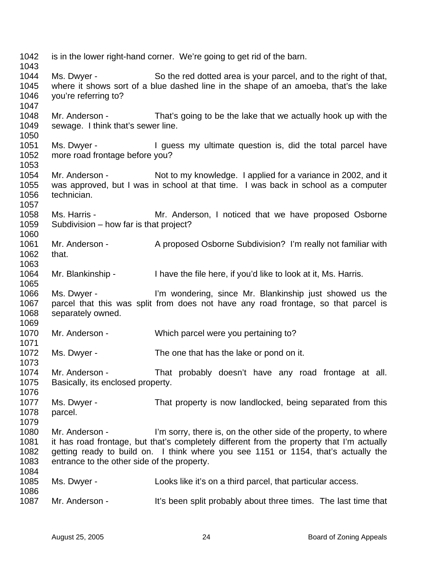| 1042<br>1043                 |                                                               | is in the lower right-hand corner. We're going to get rid of the barn.                                                                                                                                                                              |
|------------------------------|---------------------------------------------------------------|-----------------------------------------------------------------------------------------------------------------------------------------------------------------------------------------------------------------------------------------------------|
| 1044<br>1045<br>1046<br>1047 | Ms. Dwyer -<br>you're referring to?                           | So the red dotted area is your parcel, and to the right of that,<br>where it shows sort of a blue dashed line in the shape of an amoeba, that's the lake                                                                                            |
| 1048<br>1049<br>1050         | sewage. I think that's sewer line.                            | Mr. Anderson - That's going to be the lake that we actually hook up with the                                                                                                                                                                        |
| 1051<br>1052<br>1053         | more road frontage before you?                                | Ms. Dwyer - I guess my ultimate question is, did the total parcel have                                                                                                                                                                              |
| 1054<br>1055<br>1056<br>1057 | technician.                                                   | Mr. Anderson - Not to my knowledge. I applied for a variance in 2002, and it<br>was approved, but I was in school at that time. I was back in school as a computer                                                                                  |
| 1058<br>1059<br>1060         | Ms. Harris -<br>Subdivision – how far is that project?        | Mr. Anderson, I noticed that we have proposed Osborne                                                                                                                                                                                               |
| 1061<br>1062<br>1063         | Mr. Anderson -<br>that.                                       | A proposed Osborne Subdivision? I'm really not familiar with                                                                                                                                                                                        |
| 1064<br>1065                 |                                                               | Mr. Blankinship - I have the file here, if you'd like to look at it, Ms. Harris.                                                                                                                                                                    |
| 1066<br>1067<br>1068<br>1069 | Ms. Dwyer -<br>separately owned.                              | I'm wondering, since Mr. Blankinship just showed us the<br>parcel that this was split from does not have any road frontage, so that parcel is                                                                                                       |
| 1070<br>1071                 | Mr. Anderson -                                                | Which parcel were you pertaining to?                                                                                                                                                                                                                |
| 1072<br>1073                 | Ms. Dwyer -                                                   | The one that has the lake or pond on it.                                                                                                                                                                                                            |
| 1074<br>1075<br>1076         | Mr. Anderson -<br>Basically, its enclosed property.           | That probably doesn't have any road frontage at all.                                                                                                                                                                                                |
| 1077<br>1078<br>1079         | Ms. Dwyer -<br>parcel.                                        | That property is now landlocked, being separated from this                                                                                                                                                                                          |
| 1080<br>1081<br>1082<br>1083 | Mr. Anderson -<br>entrance to the other side of the property. | I'm sorry, there is, on the other side of the property, to where<br>it has road frontage, but that's completely different from the property that I'm actually<br>getting ready to build on. I think where you see 1151 or 1154, that's actually the |
| 1084<br>1085<br>1086         | Ms. Dwyer -                                                   | Looks like it's on a third parcel, that particular access.                                                                                                                                                                                          |
| 1087                         | Mr. Anderson -                                                | It's been split probably about three times. The last time that                                                                                                                                                                                      |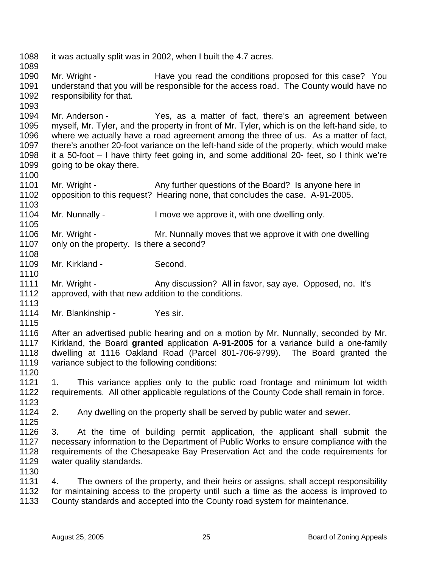1088 it was actually split was in 2002, when I built the 4.7 acres. 1089 1090 Mr. Wright - Have you read the conditions proposed for this case? You 1091 understand that you will be responsible for the access road. The County would have no 1092 responsibility for that. 1093 1094 Mr. Anderson - Yes, as a matter of fact, there's an agreement between 1095 myself, Mr. Tyler, and the property in front of Mr. Tyler, which is on the left-hand side, to 1096 where we actually have a road agreement among the three of us. As a matter of fact, 1097 there's another 20-foot variance on the left-hand side of the property, which would make 1098 it a 50-foot – I have thirty feet going in, and some additional 20- feet, so I think we're 1099 going to be okay there. 1100 1101 Mr. Wright - Any further questions of the Board? Is anyone here in 1102 opposition to this request? Hearing none, that concludes the case. A-91-2005. 1103 1104 Mr. Nunnally - I move we approve it, with one dwelling only. 1105 1106 Mr. Wright - Mr. Nunnally moves that we approve it with one dwelling 1107 only on the property. Is there a second? 1108 1109 Mr. Kirkland - Second. 1110 1111 Mr. Wright - Any discussion? All in favor, say aye. Opposed, no. It's 1112 approved, with that new addition to the conditions. 1113 1114 Mr. Blankinship - Yes sir. 1115 1116 After an advertised public hearing and on a motion by Mr. Nunnally, seconded by Mr. 1117 Kirkland, the Board **granted** application **A-91-2005** for a variance build a one-family 1118 dwelling at 1116 Oakland Road (Parcel 801-706-9799). The Board granted the 1119 variance subject to the following conditions: 1120 1121 1. This variance applies only to the public road frontage and minimum lot width 1122 requirements. All other applicable regulations of the County Code shall remain in force. 1123 1124 2. Any dwelling on the property shall be served by public water and sewer. 1125 1126 3. At the time of building permit application, the applicant shall submit the 1127 necessary information to the Department of Public Works to ensure compliance with the 1128 requirements of the Chesapeake Bay Preservation Act and the code requirements for 1129 water quality standards. 1130 1131 4. The owners of the property, and their heirs or assigns, shall accept responsibility 1132 for maintaining access to the property until such a time as the access is improved to 1133 County standards and accepted into the County road system for maintenance.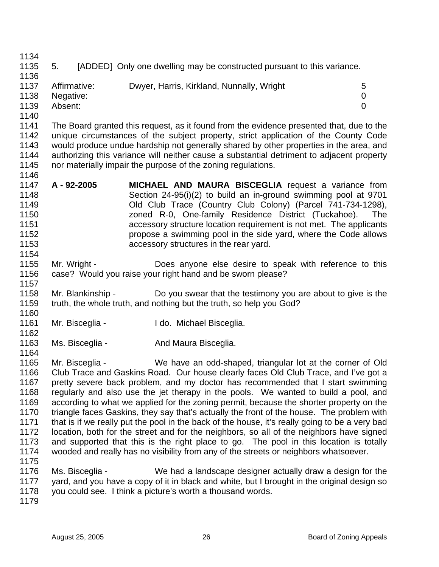1134

1146

1162

1164

1135 5. [ADDED] Only one dwelling may be constructed pursuant to this variance.

- 1136 1137 Affirmative: Dwyer, Harris, Kirkland, Nunnally, Wright 5 1138 Negative: 0 1139 Absent: 0 1140
- 1141 The Board granted this request, as it found from the evidence presented that, due to the 1142 unique circumstances of the subject property, strict application of the County Code 1143 would produce undue hardship not generally shared by other properties in the area, and 1144 authorizing this variance will neither cause a substantial detriment to adjacent property 1145 nor materially impair the purpose of the zoning regulations.
- 1147 **A 92-2005 MICHAEL AND MAURA BISCEGLIA** request a variance from 1148 Section 24-95(i)(2) to build an in-ground swimming pool at 9701 1149 Old Club Trace (Country Club Colony) (Parcel 741-734-1298), 1150 zoned R-0, One-family Residence District (Tuckahoe). The 1151 accessory structure location requirement is not met. The applicants 1152 **propose a swimming pool in the side yard, where the Code allows** 1153 accessory structures in the rear yard. 1154
- 1155 Mr. Wright Does anyone else desire to speak with reference to this 1156 case? Would you raise your right hand and be sworn please? 1157
- 1158 Mr. Blankinship Do you swear that the testimony you are about to give is the 1159 truth, the whole truth, and nothing but the truth, so help you God? 1160
- 1161 Mr. Bisceglia I do. Michael Bisceglia.
- 1163 Ms. Bisceglia And Maura Bisceglia.
- 1165 Mr. Bisceglia We have an odd-shaped, triangular lot at the corner of Old 1166 Club Trace and Gaskins Road. Our house clearly faces Old Club Trace, and I've got a 1167 pretty severe back problem, and my doctor has recommended that I start swimming 1168 regularly and also use the jet therapy in the pools. We wanted to build a pool, and 1169 according to what we applied for the zoning permit, because the shorter property on the 1170 triangle faces Gaskins, they say that's actually the front of the house. The problem with 1171 that is if we really put the pool in the back of the house, it's really going to be a very bad 1172 location, both for the street and for the neighbors, so all of the neighbors have signed 1173 and supported that this is the right place to go. The pool in this location is totally 1174 wooded and really has no visibility from any of the streets or neighbors whatsoever. 1175
- 1176 Ms. Bisceglia We had a landscape designer actually draw a design for the 1177 yard, and you have a copy of it in black and white, but I brought in the original design so 1178 you could see. I think a picture's worth a thousand words.
- 1179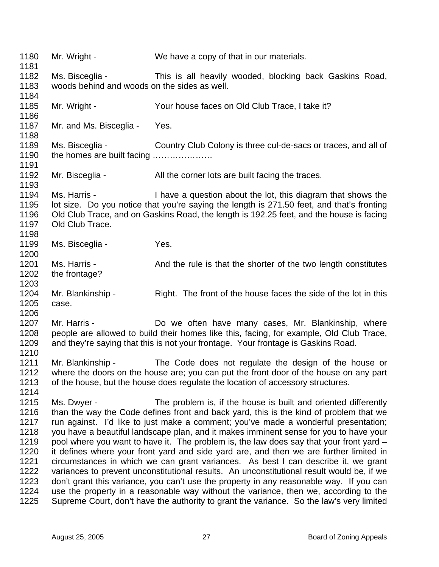1180 Mr. Wright - We have a copy of that in our materials. 1181 1182 Ms. Bisceglia - This is all heavily wooded, blocking back Gaskins Road, 1183 woods behind and woods on the sides as well. 1184 1185 Mr. Wright - Your house faces on Old Club Trace, I take it? 1186 1187 Mr. and Ms. Bisceglia - Yes. 1188 1189 Ms. Bisceglia - Country Club Colony is three cul-de-sacs or traces, and all of 1190 the homes are built facing ..................... 1191 1192 Mr. Bisceglia - All the corner lots are built facing the traces. 1193<br>1194 Ms. Harris - Thave a question about the lot, this diagram that shows the 1195 lot size. Do you notice that you're saying the length is 271.50 feet, and that's fronting 1196 Old Club Trace, and on Gaskins Road, the length is 192.25 feet, and the house is facing 1197 Old Club Trace. 1198 1199 Ms. Bisceglia - Yes. 1200 1201 Ms. Harris - And the rule is that the shorter of the two length constitutes 1202 the frontage? 1203 1204 Mr. Blankinship - Right. The front of the house faces the side of the lot in this 1205 case. 1206 1207 Mr. Harris - Do we often have many cases, Mr. Blankinship, where 1208 people are allowed to build their homes like this, facing, for example, Old Club Trace, 1209 and they're saying that this is not your frontage. Your frontage is Gaskins Road. 1210 1211 Mr. Blankinship - The Code does not regulate the design of the house or 1212 where the doors on the house are; you can put the front door of the house on any part 1213 of the house, but the house does regulate the location of accessory structures. 1214 1215 Ms. Dwyer - The problem is, if the house is built and oriented differently 1216 than the way the Code defines front and back yard, this is the kind of problem that we 1217 run against. I'd like to just make a comment; you've made a wonderful presentation; 1218 you have a beautiful landscape plan, and it makes imminent sense for you to have your 1219 pool where you want to have it. The problem is, the law does say that your front yard – 1220 it defines where your front yard and side yard are, and then we are further limited in 1221 circumstances in which we can grant variances. As best I can describe it, we grant 1222 variances to prevent unconstitutional results. An unconstitutional result would be, if we 1223 don't grant this variance, you can't use the property in any reasonable way. If you can 1224 use the property in a reasonable way without the variance, then we, according to the 1225 Supreme Court, don't have the authority to grant the variance. So the law's very limited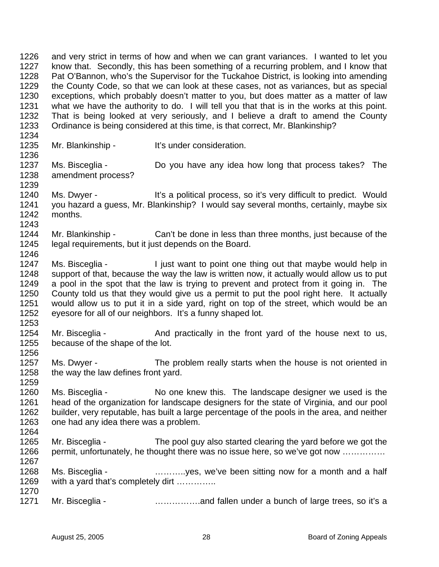1226 and very strict in terms of how and when we can grant variances. I wanted to let you 1227 know that. Secondly, this has been something of a recurring problem, and I know that 1228 Pat O'Bannon, who's the Supervisor for the Tuckahoe District, is looking into amending 1229 the County Code, so that we can look at these cases, not as variances, but as special 1230 exceptions, which probably doesn't matter to you, but does matter as a matter of law 1231 what we have the authority to do. I will tell you that that is in the works at this point. 1232 That is being looked at very seriously, and I believe a draft to amend the County 1233 Ordinance is being considered at this time, is that correct, Mr. Blankinship? 1234

1236

1246

1253

1256

- 1235 Mr. Blankinship It's under consideration.
- 1237 Ms. Bisceglia Do you have any idea how long that process takes? The 1238 amendment process? 1239
- 1240 Ms. Dwyer It's a political process, so it's very difficult to predict. Would 1241 you hazard a guess, Mr. Blankinship? I would say several months, certainly, maybe six 1242 months. 1243
- 1244 Mr. Blankinship Can't be done in less than three months, just because of the 1245 legal requirements, but it just depends on the Board.
- 1247 Ms. Bisceglia I just want to point one thing out that maybe would help in 1248 support of that, because the way the law is written now, it actually would allow us to put 1249 a pool in the spot that the law is trying to prevent and protect from it going in. The 1250 County told us that they would give us a permit to put the pool right here. It actually 1251 would allow us to put it in a side yard, right on top of the street, which would be an 1252 eyesore for all of our neighbors. It's a funny shaped lot.
- 1254 Mr. Bisceglia And practically in the front yard of the house next to us, 1255 because of the shape of the lot.
- 1257 Ms. Dwyer The problem really starts when the house is not oriented in 1258 the way the law defines front yard. 1259
- 1260 Ms. Bisceglia No one knew this. The landscape designer we used is the 1261 head of the organization for landscape designers for the state of Virginia, and our pool 1262 builder, very reputable, has built a large percentage of the pools in the area, and neither 1263 one had any idea there was a problem. 1264
- 1265 Mr. Bisceglia The pool guy also started clearing the yard before we got the 1266 permit, unfortunately, he thought there was no issue here, so we've got now ...............
- 1268 Ms. Bisceglia ………..yes, we've been sitting now for a month and a half 1269 with a yard that's completely dirt ………….. 1270
- 1271 Mr. Bisceglia …………….and fallen under a bunch of large trees, so it's a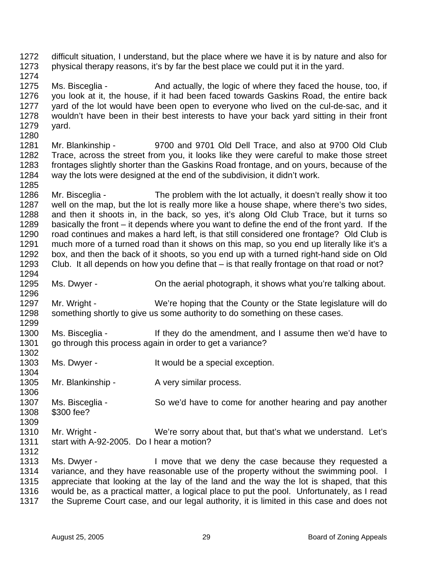1272 difficult situation, I understand, but the place where we have it is by nature and also for 1273 physical therapy reasons, it's by far the best place we could put it in the yard. 1274

1275 Ms. Bisceglia - And actually, the logic of where they faced the house, too, if 1276 you look at it, the house, if it had been faced towards Gaskins Road, the entire back 1277 yard of the lot would have been open to everyone who lived on the cul-de-sac, and it 1278 wouldn't have been in their best interests to have your back yard sitting in their front 1279 yard. 1280

1281 Mr. Blankinship - 9700 and 9701 Old Dell Trace, and also at 9700 Old Club 1282 Trace, across the street from you, it looks like they were careful to make those street 1283 frontages slightly shorter than the Gaskins Road frontage, and on yours, because of the 1284 way the lots were designed at the end of the subdivision, it didn't work.

1286 Mr. Bisceglia - The problem with the lot actually, it doesn't really show it too 1287 well on the map, but the lot is really more like a house shape, where there's two sides, 1288 and then it shoots in, in the back, so yes, it's along Old Club Trace, but it turns so 1289 basically the front – it depends where you want to define the end of the front yard. If the 1290 road continues and makes a hard left, is that still considered one frontage? Old Club is 1291 much more of a turned road than it shows on this map, so you end up literally like it's a 1292 box, and then the back of it shoots, so you end up with a turned right-hand side on Old 1293 Club. It all depends on how you define that – is that really frontage on that road or not? 1294

1295 Ms. Dwyer - On the aerial photograph, it shows what you're talking about.

1297 Mr. Wright - We're hoping that the County or the State legislature will do 1298 something shortly to give us some authority to do something on these cases. 1299

1300 Ms. Bisceglia - If they do the amendment, and I assume then we'd have to 1301 go through this process again in order to get a variance? 1302

- 1303 Ms. Dwyer It would be a special exception.
- 1305 Mr. Blankinship A very similar process.
- 1306 1307 Ms. Bisceglia - So we'd have to come for another hearing and pay another 1308 \$300 fee? 1309
- 1310 Mr. Wright We're sorry about that, but that's what we understand. Let's 1311 start with A-92-2005. Do I hear a motion?
- 1312<br>1313 Ms. Dwyer - I move that we deny the case because they requested a 1314 variance, and they have reasonable use of the property without the swimming pool. I 1315 appreciate that looking at the lay of the land and the way the lot is shaped, that this 1316 would be, as a practical matter, a logical place to put the pool. Unfortunately, as I read 1317 the Supreme Court case, and our legal authority, it is limited in this case and does not

1285

1296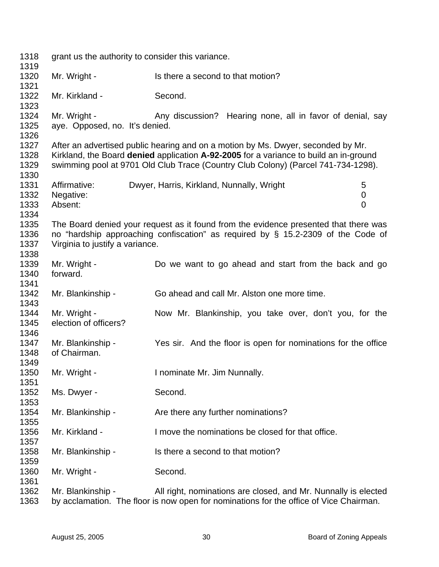| 1318<br>1319                 | grant us the authority to consider this variance. |                                                                                                                                                                                                                                                                |  |
|------------------------------|---------------------------------------------------|----------------------------------------------------------------------------------------------------------------------------------------------------------------------------------------------------------------------------------------------------------------|--|
| 1320<br>1321                 | Mr. Wright -                                      | Is there a second to that motion?                                                                                                                                                                                                                              |  |
| 1322<br>1323                 | Mr. Kirkland -                                    | Second.                                                                                                                                                                                                                                                        |  |
| 1324<br>1325<br>1326         | Mr. Wright -<br>aye. Opposed, no. It's denied.    | Any discussion? Hearing none, all in favor of denial, say                                                                                                                                                                                                      |  |
| 1327<br>1328<br>1329<br>1330 |                                                   | After an advertised public hearing and on a motion by Ms. Dwyer, seconded by Mr.<br>Kirkland, the Board denied application A-92-2005 for a variance to build an in-ground<br>swimming pool at 9701 Old Club Trace (Country Club Colony) (Parcel 741-734-1298). |  |
| 1331<br>1332<br>1333<br>1334 | Affirmative:<br>Negative:<br>Absent:              | Dwyer, Harris, Kirkland, Nunnally, Wright<br>5<br>0<br>$\overline{0}$                                                                                                                                                                                          |  |
| 1335<br>1336<br>1337<br>1338 | Virginia to justify a variance.                   | The Board denied your request as it found from the evidence presented that there was<br>no "hardship approaching confiscation" as required by $\S$ 15.2-2309 of the Code of                                                                                    |  |
| 1339<br>1340<br>1341         | Mr. Wright -<br>forward.                          | Do we want to go ahead and start from the back and go                                                                                                                                                                                                          |  |
| 1342<br>1343                 | Mr. Blankinship -                                 | Go ahead and call Mr. Alston one more time.                                                                                                                                                                                                                    |  |
| 1344<br>1345<br>1346         | Mr. Wright -<br>election of officers?             | Now Mr. Blankinship, you take over, don't you, for the                                                                                                                                                                                                         |  |
| 1347<br>1348<br>1349         | Mr. Blankinship -<br>of Chairman.                 | Yes sir. And the floor is open for nominations for the office                                                                                                                                                                                                  |  |
| 1350<br>1351                 | Mr. Wright -                                      | I nominate Mr. Jim Nunnally.                                                                                                                                                                                                                                   |  |
| 1352<br>1353                 | Ms. Dwyer -                                       | Second.                                                                                                                                                                                                                                                        |  |
| 1354<br>1355                 | Mr. Blankinship -                                 | Are there any further nominations?                                                                                                                                                                                                                             |  |
| 1356<br>1357                 | Mr. Kirkland -                                    | I move the nominations be closed for that office.                                                                                                                                                                                                              |  |
| 1358<br>1359                 | Mr. Blankinship -                                 | Is there a second to that motion?                                                                                                                                                                                                                              |  |
| 1360<br>1361                 | Mr. Wright -                                      | Second.                                                                                                                                                                                                                                                        |  |
| 1362<br>1363                 | Mr. Blankinship -                                 | All right, nominations are closed, and Mr. Nunnally is elected<br>by acclamation. The floor is now open for nominations for the office of Vice Chairman.                                                                                                       |  |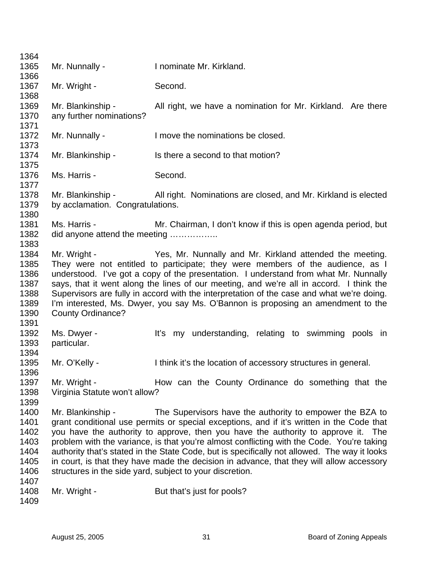| 1364 |                                  |                                                                                              |
|------|----------------------------------|----------------------------------------------------------------------------------------------|
| 1365 | Mr. Nunnally -                   | I nominate Mr. Kirkland.                                                                     |
| 1366 |                                  |                                                                                              |
| 1367 | Mr. Wright -                     | Second.                                                                                      |
| 1368 |                                  |                                                                                              |
| 1369 | Mr. Blankinship -                | All right, we have a nomination for Mr. Kirkland. Are there                                  |
| 1370 | any further nominations?         |                                                                                              |
| 1371 |                                  |                                                                                              |
| 1372 | Mr. Nunnally -                   | I move the nominations be closed.                                                            |
| 1373 |                                  |                                                                                              |
| 1374 | Mr. Blankinship -                | Is there a second to that motion?                                                            |
| 1375 |                                  |                                                                                              |
| 1376 | Ms. Harris -                     | Second.                                                                                      |
| 1377 |                                  |                                                                                              |
| 1378 | Mr. Blankinship -                | All right. Nominations are closed, and Mr. Kirkland is elected                               |
| 1379 | by acclamation. Congratulations. |                                                                                              |
| 1380 |                                  |                                                                                              |
| 1381 | Ms. Harris -                     | Mr. Chairman, I don't know if this is open agenda period, but                                |
| 1382 | did anyone attend the meeting    |                                                                                              |
| 1383 |                                  |                                                                                              |
| 1384 | Mr. Wright -                     | Yes, Mr. Nunnally and Mr. Kirkland attended the meeting.                                     |
| 1385 |                                  | They were not entitled to participate; they were members of the audience, as I               |
| 1386 |                                  | understood. I've got a copy of the presentation. I understand from what Mr. Nunnally         |
| 1387 |                                  | says, that it went along the lines of our meeting, and we're all in accord. I think the      |
| 1388 |                                  | Supervisors are fully in accord with the interpretation of the case and what we're doing.    |
| 1389 |                                  | I'm interested, Ms. Dwyer, you say Ms. O'Bannon is proposing an amendment to the             |
| 1390 | <b>County Ordinance?</b>         |                                                                                              |
| 1391 |                                  |                                                                                              |
| 1392 | Ms. Dwyer -                      | It's my understanding, relating to swimming pools in                                         |
| 1393 | particular.                      |                                                                                              |
| 1394 |                                  |                                                                                              |
| 1395 | Mr. O'Kelly -                    | I think it's the location of accessory structures in general.                                |
| 1396 |                                  |                                                                                              |
| 1397 | Mr. Wright -                     | How can the County Ordinance do something that the                                           |
| 1398 | Virginia Statute won't allow?    |                                                                                              |
| 1399 |                                  |                                                                                              |
| 1400 | Mr. Blankinship -                | The Supervisors have the authority to empower the BZA to                                     |
| 1401 |                                  | grant conditional use permits or special exceptions, and if it's written in the Code that    |
| 1402 |                                  | you have the authority to approve, then you have the authority to approve it. The            |
| 1403 |                                  | problem with the variance, is that you're almost conflicting with the Code. You're taking    |
| 1404 |                                  | authority that's stated in the State Code, but is specifically not allowed. The way it looks |
| 1405 |                                  | in court, is that they have made the decision in advance, that they will allow accessory     |
| 1406 |                                  | structures in the side yard, subject to your discretion.                                     |
| 1407 |                                  |                                                                                              |
| 1408 | Mr. Wright -                     | But that's just for pools?                                                                   |
| 1409 |                                  |                                                                                              |
|      |                                  |                                                                                              |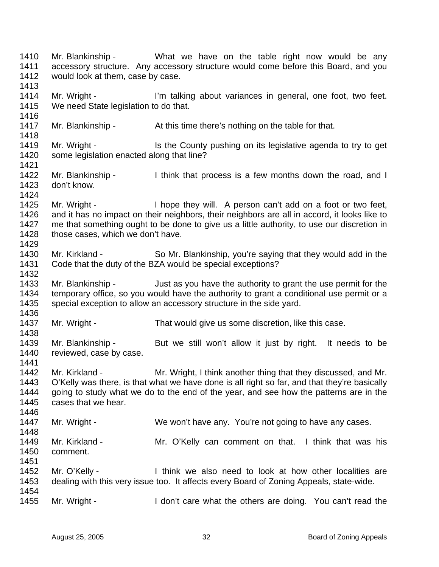1410 Mr. Blankinship - What we have on the table right now would be any 1411 accessory structure. Any accessory structure would come before this Board, and you 1412 would look at them, case by case. 1413 1414 Mr. Wright - I'm talking about variances in general, one foot, two feet. 1415 We need State legislation to do that. 1416 1417 Mr. Blankinship - At this time there's nothing on the table for that. 1418 1419 Mr. Wright - Is the County pushing on its legislative agenda to try to get 1420 some legislation enacted along that line? 1421 1422 Mr. Blankinship - I think that process is a few months down the road, and I 1423 don't know. 1424 1425 Mr. Wright - I hope they will. A person can't add on a foot or two feet, 1426 and it has no impact on their neighbors, their neighbors are all in accord, it looks like to 1427 me that something ought to be done to give us a little authority, to use our discretion in 1428 those cases, which we don't have. 1429 1430 Mr. Kirkland - So Mr. Blankinship, you're saying that they would add in the 1431 Code that the duty of the BZA would be special exceptions? 1432 1433 Mr. Blankinship - Just as you have the authority to grant the use permit for the 1434 temporary office, so you would have the authority to grant a conditional use permit or a 1435 special exception to allow an accessory structure in the side yard. 1436 1437 Mr. Wright - That would give us some discretion, like this case. 1438 1439 Mr. Blankinship - But we still won't allow it just by right. It needs to be 1440 reviewed, case by case. 1441 1442 Mr. Kirkland - Mr. Wright, I think another thing that they discussed, and Mr. 1443 O'Kelly was there, is that what we have done is all right so far, and that they're basically 1444 going to study what we do to the end of the year, and see how the patterns are in the 1445 cases that we hear. 1446 1447 Mr. Wright - We won't have any. You're not going to have any cases. 1448 1449 Mr. Kirkland - Mr. O'Kelly can comment on that. I think that was his 1450 comment. 1451 1452 Mr. O'Kelly - I think we also need to look at how other localities are 1453 dealing with this very issue too. It affects every Board of Zoning Appeals, state-wide. 1454 1455 Mr. Wright - I don't care what the others are doing. You can't read the